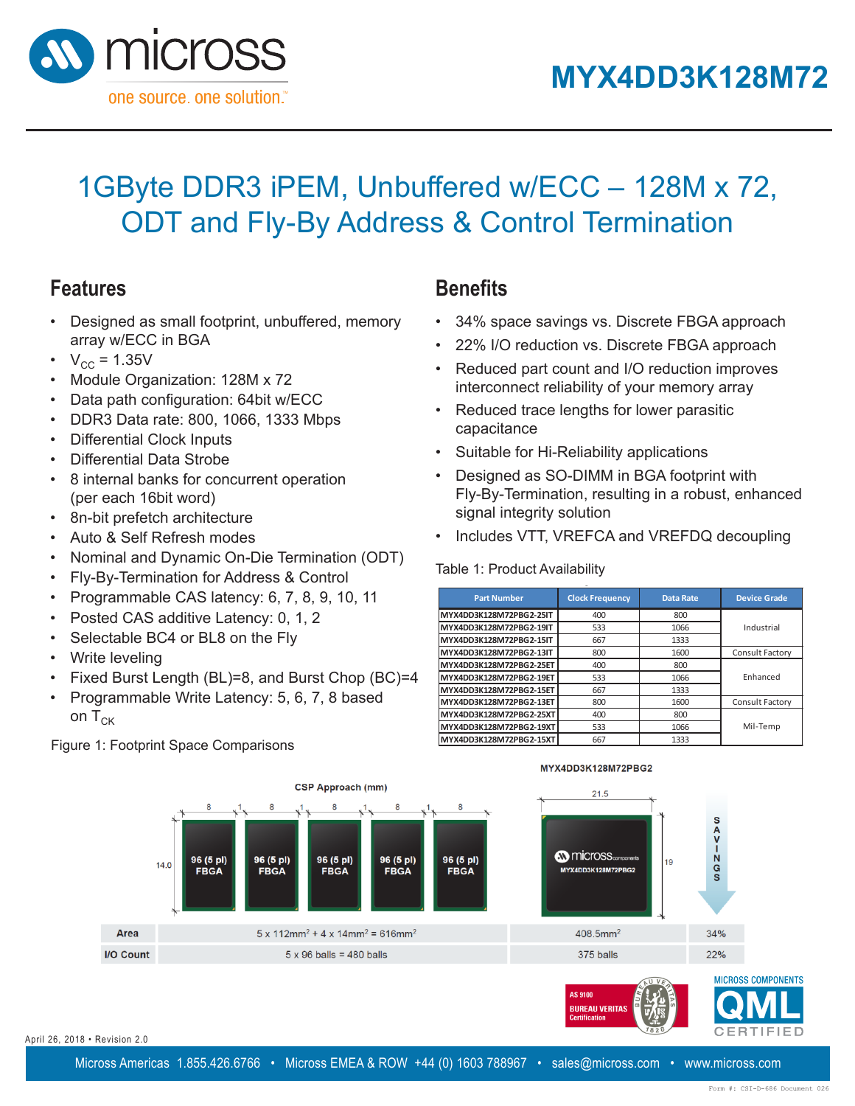

**MYXDD3K128M72PBG2**

**MYXDD3K128M72PBG2** 

### 1GByte DDR3 iPEM, Unbuffered w/ECC - 128M x 72, ODT and Fly-By Address & Control Termination **1GByte DDR3 iPEM, Unbuffered w/ECC – 128M x 72, 1GByte DDR3 iPEM, Unbuffered w/ECC – 128M x 72,**  28M x 72.

## **Features**

- **•** Designed as small footprint, unbuffered, memory array w/ECC in BGA • Designed as small footprint, unbuffered, SO-DIMM
	- $V_{\text{cc}} = 1.35V$  $-1.33V$
	- Module Organization: 128M x 72 1odule Organ
	- Data path configuration: 64bit w/ECC
	- DDR3 Data rate: 800, 1066, 1333 Mbps  $P_{\text{Data}}$  Model of  $P_{\text{A}}$   $P_{\text{A}}$   $P_{\text{A}}$   $P_{\text{A}}$   $P_{\text{A}}$   $P_{\text{A}}$   $P_{\text{A}}$   $P_{\text{A}}$   $P_{\text{A}}$   $P_{\text{A}}$   $P_{\text{A}}$   $P_{\text{A}}$   $P_{\text{A}}$   $P_{\text{A}}$   $P_{\text{A}}$   $P_{\text{A}}$   $P_{\text{A}}$   $P_{\text{A}}$   $P_{\text{A}}$   $P_{\text{A}}$   $P$ • DDR3 Data rate: 800, 1066, 1333 M
	- Differential Clock Inputs
	- Differential Data Strobe
	- 8 internal banks for concurrent operation (per each 16bit word) • 8 internal banks for concurrent operation • 8 internal banks for concurrent operation
	- $\bullet$  8n-bit prefetch architecture each tean neis)<br>it aanfetek eachitee  $\frac{1}{2}$  8.0  $\frac{1}{2}$  5.1  $\frac{1}{2}$  6.1  $\frac{1}{2}$  6.1  $\frac{1}{2}$  6.1  $\frac{1}{2}$  6.1  $\frac{1}{2}$  6.1  $\frac{1}{2}$  6.1  $\frac{1}{2}$  6.1  $\frac{1}{2}$  6.1  $\frac{1}{2}$  6.1  $\frac{1}{2}$  6.1  $\frac{1}{2}$  6.1  $\frac{1}{2}$  6.1  $\frac{1}{2}$  6.1  $\frac{1}{2}$  6
	- Auto & Self Refresh modes  $\frac{1}{2}$  and  $\frac{1}{2}$  cell Reflesh modes
	- Nominal and Dynamic On-Die Termination (ODT)
	- Fly-By-Termination for Address & Control
	- Programmable CAS latency: 6, 7, 8, 9, 10, 11
	- Posted CAS additive Latency: 0, 1, 2
	- Selectable BC4 or BL8 on the Fly
	- Write leveling
	- Fixed Burst Length (BL)=8, and Burst Chop (BC)=4
	- Programmable Write Latency:  $5, 6, 7, 8$  based on  $T_{CK}$  $\overline{P}$  Programmable Wite Latency: 5, 6, 7, 8 based on T  $\frac{1}{2}$  based conger (DL) b, and Barot on P (DD)

Figure 1: Footprint Space Comparisons

#### **Benefits ODT and Fly-By Address Benefits**  $\mathsf{R}$ anafite

- 34% space savings vs. Discrete FBGA approach **Benefits Benefits**
- 22% I/O reduction vs. Discrete FBGA approach
- Reduced part count and I/O reduction improves interconnect reliability of your memory array
- Reduced trace lengths for lower parasitic capacitance • Reduced trace lengths for lower parasitic capacitance • Reduced trace lengths for lower parasitic
- Suitable for Hi-Reliability applications
- Designed as SO-DIMM in BGA footprint with Fly-By-Termination, resulting in a robust, enhanced signal integrity solution • Suitable for Hi-Reliability applications • Designed as SO-DIMM in BGA footprint with Fly-By-• Designed as SO-DIMM in BGA footprint with Fly-Byintegrity solutio
- Includes VTT, VREFCA and VREFDQ decoupling Includes VTT, VREFCA and VREFDQ decoupling • Includes VTT, VREFCA and VREFDQ decoupling

# **Product Availability** Table 1: Product Availability **Product Availability**

| <b>Part Number</b>      | <b>Clock Frequency</b> | <b>Data Rate</b> | <b>Device Grade</b> |
|-------------------------|------------------------|------------------|---------------------|
| MYX4DD3K128M72PBG2-25IT | 400                    | 800              |                     |
| MYX4DD3K128M72PBG2-19IT | 533                    | 1066             | Industrial          |
| MYX4DD3K128M72PBG2-15IT | 667                    | 1333             |                     |
| MYX4DD3K128M72PBG2-13IT | 800                    | 1600             | Consult Factory     |
| MYX4DD3K128M72PBG2-25ET | 400                    | 800              |                     |
| MYX4DD3K128M72PBG2-19ET | 533                    | 1066             | Enhanced            |
| MYX4DD3K128M72PBG2-15ET | 667                    | 1333             |                     |
| MYX4DD3K128M72PBG2-13ET | 800                    | 1600             | Consult Factory     |
| MYX4DD3K128M72PBG2-25XT | 400                    | 800              |                     |
| MYX4DD3K128M72PBG2-19XT | 533                    | 1066             | Mil-Temp            |
| MYX4DD3K128M72PBG2-15XT | 667                    | 1333             |                     |

MYX4DD3K128M72PBG2